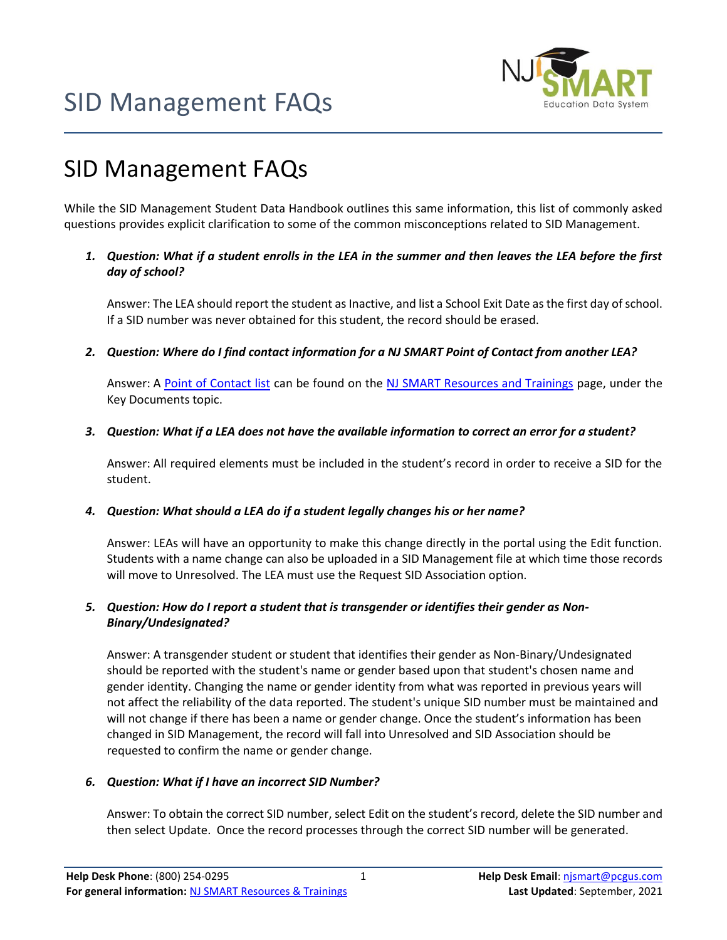



While the SID Management Student Data Handbook outlines this same information, this list of commonly asked questions provides explicit clarification to some of the common misconceptions related to SID Management.

#### *1. Question: What if a student enrolls in the LEA in the summer and then leaves the LEA before the first day of school?*

Answer: The LEA should report the student as Inactive, and list a School Exit Date as the first day of school. If a SID number was never obtained for this student, the record should be erased.

*2. Question: Where do I find contact information for a NJ SMART Point of Contact from another LEA?*

Answer: A [Point of Contact list](https://www.njsmart.org/njr/ks/Key%20Documents/POC%20List.xlsx) can be found on the [NJ SMART Resources and Trainings](https://www.njsmart.org/njr) page, under the Key Documents topic.

#### *3. Question: What if a LEA does not have the available information to correct an error for a student?*

Answer: All required elements must be included in the student's record in order to receive a SID for the student.

#### *4. Question: What should a LEA do if a student legally changes his or her name?*

Answer: LEAs will have an opportunity to make this change directly in the portal using the Edit function. Students with a name change can also be uploaded in a SID Management file at which time those records will move to Unresolved. The LEA must use the Request SID Association option.

### *5. Question: How do I report a student that is transgender or identifies their gender as Non-Binary/Undesignated?*

Answer: A transgender student or student that identifies their gender as Non-Binary/Undesignated should be reported with the student's name or gender based upon that student's chosen name and gender identity. Changing the name or gender identity from what was reported in previous years will not affect the reliability of the data reported. The student's unique SID number must be maintained and will not change if there has been a name or gender change. Once the student's information has been changed in SID Management, the record will fall into Unresolved and SID Association should be requested to confirm the name or gender change.

### *6. Question: What if I have an incorrect SID Number?*

Answer: To obtain the correct SID number, select Edit on the student's record, delete the SID number and then select Update. Once the record processes through the correct SID number will be generated.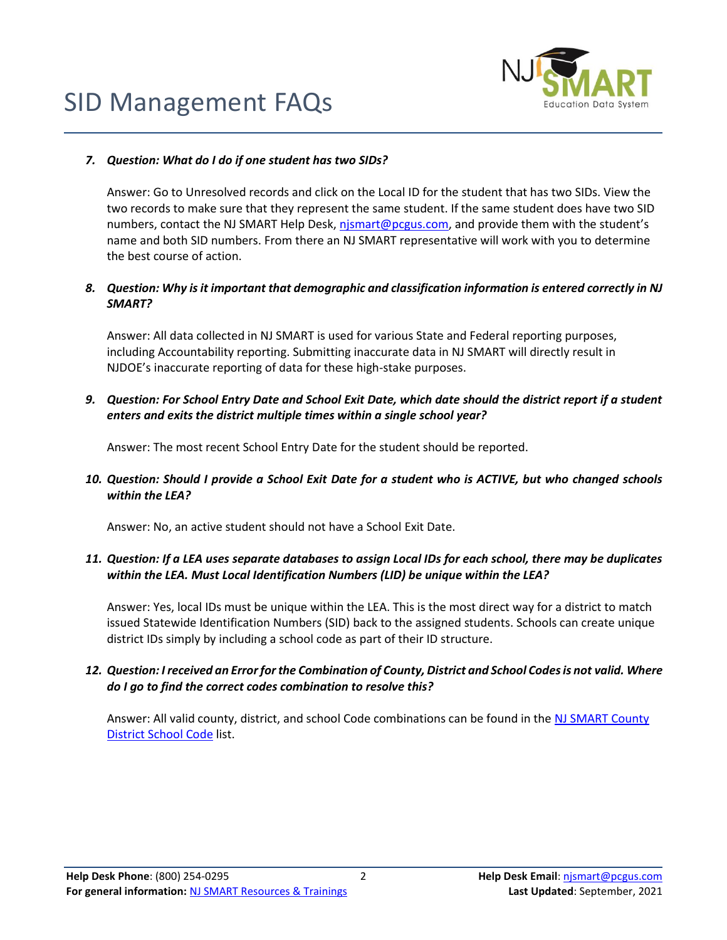



#### *7. Question: What do I do if one student has two SIDs?*

Answer: Go to Unresolved records and click on the Local ID for the student that has two SIDs. View the two records to make sure that they represent the same student. If the same student does have two SID numbers, contact the NJ SMART Help Desk, [njsmart@pcgus.com,](mailto:njsmart@pcgus.com) and provide them with the student's name and both SID numbers. From there an NJ SMART representative will work with you to determine the best course of action.

# *8. Question: Why is it important that demographic and classification information is entered correctly in NJ SMART?*

Answer: All data collected in NJ SMART is used for various State and Federal reporting purposes, including Accountability reporting. Submitting inaccurate data in NJ SMART will directly result in NJDOE's inaccurate reporting of data for these high-stake purposes.

# *9. Question: For School Entry Date and School Exit Date, which date should the district report if a student enters and exits the district multiple times within a single school year?*

Answer: The most recent School Entry Date for the student should be reported.

### *10. Question: Should I provide a School Exit Date for a student who is ACTIVE, but who changed schools within the LEA?*

Answer: No, an active student should not have a School Exit Date.

### *11. Question: If a LEA uses separate databases to assign Local IDs for each school, there may be duplicates within the LEA. Must Local Identification Numbers (LID) be unique within the LEA?*

Answer: Yes, local IDs must be unique within the LEA. This is the most direct way for a district to match issued Statewide Identification Numbers (SID) back to the assigned students. Schools can create unique district IDs simply by including a school code as part of their ID structure.

### *12. Question: I received an Error for the Combination of County, District and School Codes is not valid. Where do I go to find the correct codes combination to resolve this?*

Answer: All valid county, district, and school Code combinations can be found in the NJ SMART County [District School Code](https://www.njsmart.org/njr/ks/Key%20Documents/NJ%20SMART%20County%20District%20School%20Code%20List.xlsx) list.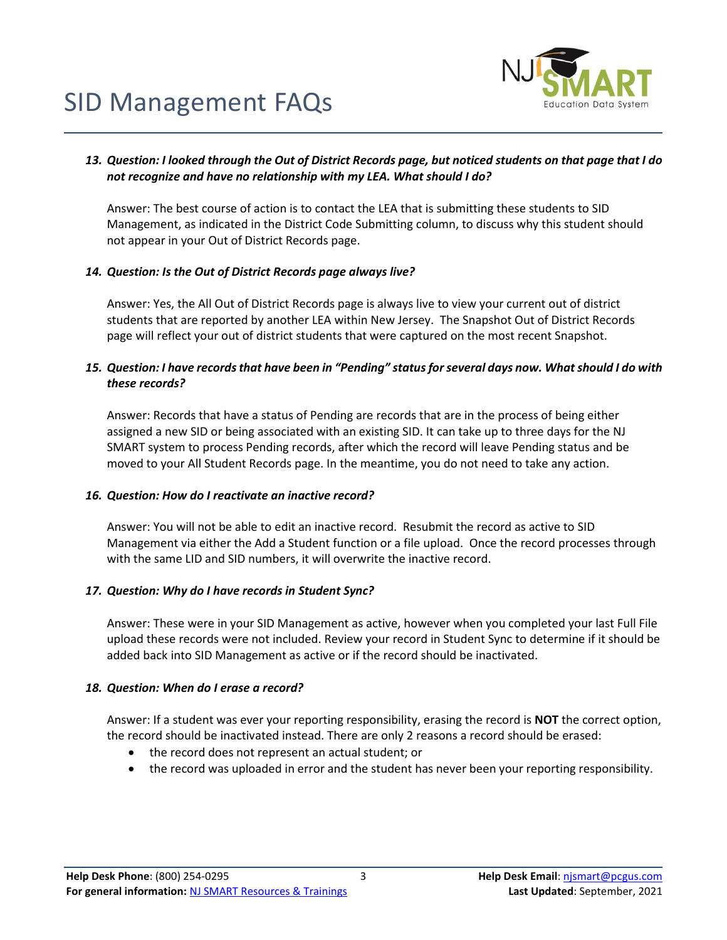

#### *13. Question: I looked through the Out of District Records page, but noticed students on that page that I do not recognize and have no relationship with my LEA. What should I do?*

Answer: The best course of action is to contact the LEA that is submitting these students to SID Management, as indicated in the District Code Submitting column, to discuss why this student should not appear in your Out of District Records page.

#### *14. Question: Is the Out of District Records page always live?*

Answer: Yes, the All Out of District Records page is always live to view your current out of district students that are reported by another LEA within New Jersey. The Snapshot Out of District Records page will reflect your out of district students that were captured on the most recent Snapshot.

### *15. Question: I have records that have been in "Pending" status for several days now. What should I do with these records?*

Answer: Records that have a status of Pending are records that are in the process of being either assigned a new SID or being associated with an existing SID. It can take up to three days for the NJ SMART system to process Pending records, after which the record will leave Pending status and be moved to your All Student Records page. In the meantime, you do not need to take any action.

#### *16. Question: How do I reactivate an inactive record?*

Answer: You will not be able to edit an inactive record. Resubmit the record as active to SID Management via either the Add a Student function or a file upload. Once the record processes through with the same LID and SID numbers, it will overwrite the inactive record.

#### *17. Question: Why do I have records in Student Sync?*

Answer: These were in your SID Management as active, however when you completed your last Full File upload these records were not included. Review your record in Student Sync to determine if it should be added back into SID Management as active or if the record should be inactivated.

#### *18. Question: When do I erase a record?*

Answer: If a student was ever your reporting responsibility, erasing the record is **NOT** the correct option, the record should be inactivated instead. There are only 2 reasons a record should be erased:

- the record does not represent an actual student; or
- the record was uploaded in error and the student has never been your reporting responsibility.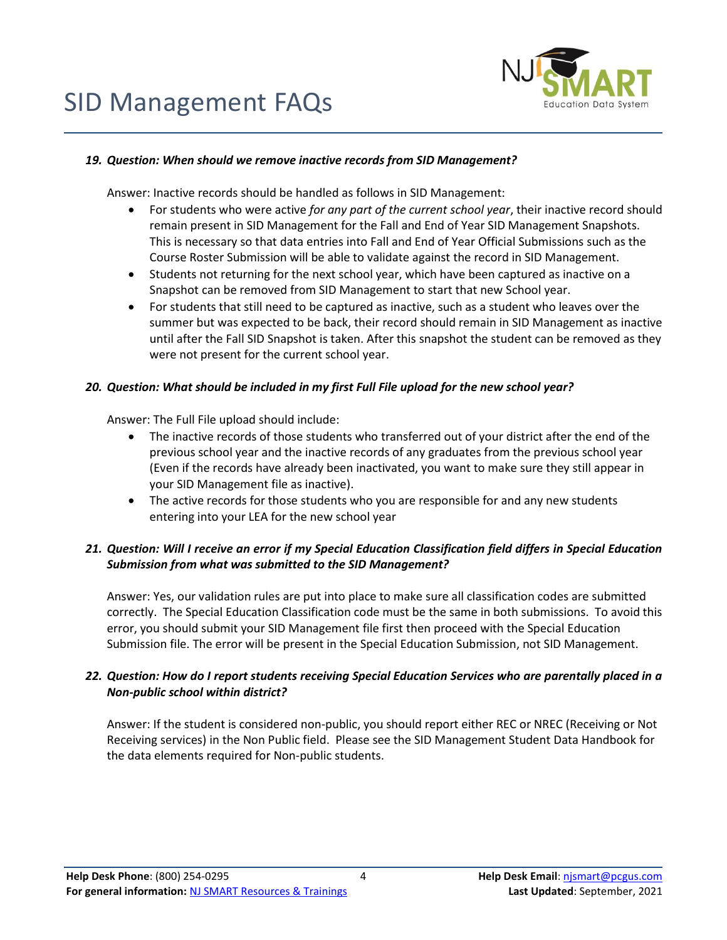

#### *19. Question: When should we remove inactive records from SID Management?*

Answer: Inactive records should be handled as follows in SID Management:

- For students who were active *for any part of the current school year*, their inactive record should remain present in SID Management for the Fall and End of Year SID Management Snapshots. This is necessary so that data entries into Fall and End of Year Official Submissions such as the Course Roster Submission will be able to validate against the record in SID Management.
- Students not returning for the next school year, which have been captured as inactive on a Snapshot can be removed from SID Management to start that new School year.
- For students that still need to be captured as inactive, such as a student who leaves over the summer but was expected to be back, their record should remain in SID Management as inactive until after the Fall SID Snapshot is taken. After this snapshot the student can be removed as they were not present for the current school year.

#### *20. Question: What should be included in my first Full File upload for the new school year?*

Answer: The Full File upload should include:

- The inactive records of those students who transferred out of your district after the end of the previous school year and the inactive records of any graduates from the previous school year (Even if the records have already been inactivated, you want to make sure they still appear in your SID Management file as inactive).
- The active records for those students who you are responsible for and any new students entering into your LEA for the new school year

# *21. Question: Will I receive an error if my Special Education Classification field differs in Special Education Submission from what was submitted to the SID Management?*

Answer: Yes, our validation rules are put into place to make sure all classification codes are submitted correctly. The Special Education Classification code must be the same in both submissions. To avoid this error, you should submit your SID Management file first then proceed with the Special Education Submission file. The error will be present in the Special Education Submission, not SID Management.

# *22. Question: How do I report students receiving Special Education Services who are parentally placed in a Non-public school within district?*

Answer: If the student is considered non-public, you should report either REC or NREC (Receiving or Not Receiving services) in the Non Public field. Please see the SID Management Student Data Handbook for the data elements required for Non-public students.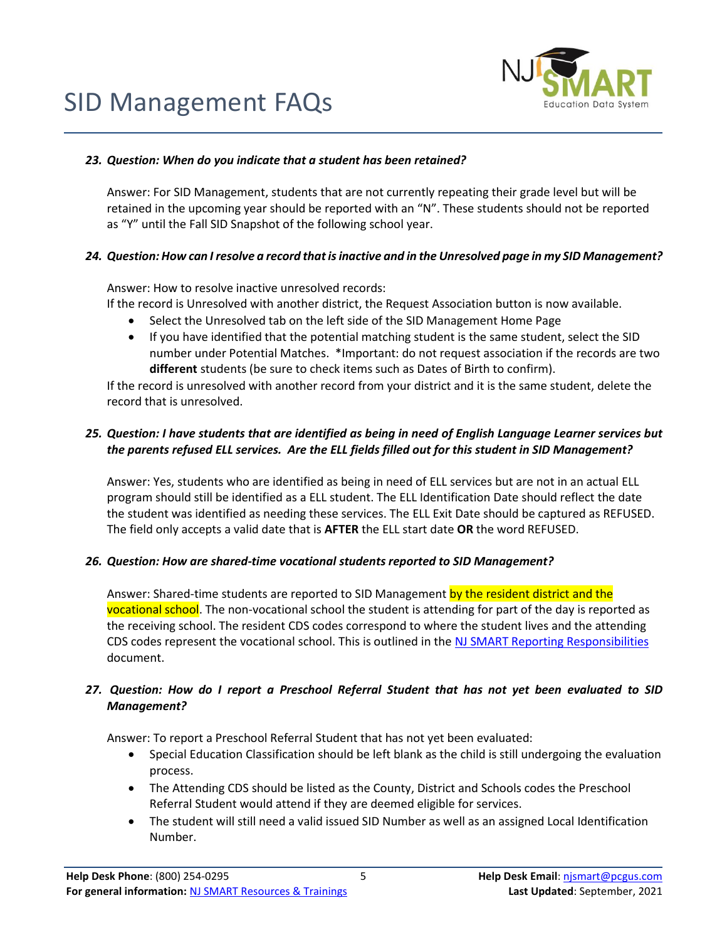

# *23. Question: When do you indicate that a student has been retained?*

Answer: For SID Management, students that are not currently repeating their grade level but will be retained in the upcoming year should be reported with an "N". These students should not be reported as "Y" until the Fall SID Snapshot of the following school year.

# *24. Question: How can I resolve a record that isinactive and in the Unresolved page in my SID Management?*

Answer: How to resolve inactive unresolved records:

- If the record is Unresolved with another district, the Request Association button is now available.
	- Select the Unresolved tab on the left side of the SID Management Home Page
	- If you have identified that the potential matching student is the same student, select the SID number under Potential Matches. \*Important: do not request association if the records are two **different** students (be sure to check items such as Dates of Birth to confirm).

If the record is unresolved with another record from your district and it is the same student, delete the record that is unresolved.

# *25. Question: I have students that are identified as being in need of English Language Learner services but the parents refused ELL services. Are the ELL fields filled out for this student in SID Management?*

Answer: Yes, students who are identified as being in need of ELL services but are not in an actual ELL program should still be identified as a ELL student. The ELL Identification Date should reflect the date the student was identified as needing these services. The ELL Exit Date should be captured as REFUSED. The field only accepts a valid date that is **AFTER** the ELL start date **OR** the word REFUSED.

### *26. Question: How are shared-time vocational students reported to SID Management?*

Answer: Shared-time students are reported to SID Management by the resident district and the vocational school. The non-vocational school the student is attending for part of the day is reported as the receiving school. The resident CDS codes correspond to where the student lives and the attending CDS codes represent the vocational school. This is outlined in the [NJ SMART Reporting Responsibilities](https://www.njsmart.org/njr/ks/SID%20Management/NJ%20SMART%20Reporting%20Responsibilities.pdf) document.

### *27. Question: How do I report a Preschool Referral Student that has not yet been evaluated to SID Management?*

Answer: To report a Preschool Referral Student that has not yet been evaluated:

- Special Education Classification should be left blank as the child is still undergoing the evaluation process.
- The Attending CDS should be listed as the County, District and Schools codes the Preschool Referral Student would attend if they are deemed eligible for services.
- The student will still need a valid issued SID Number as well as an assigned Local Identification Number.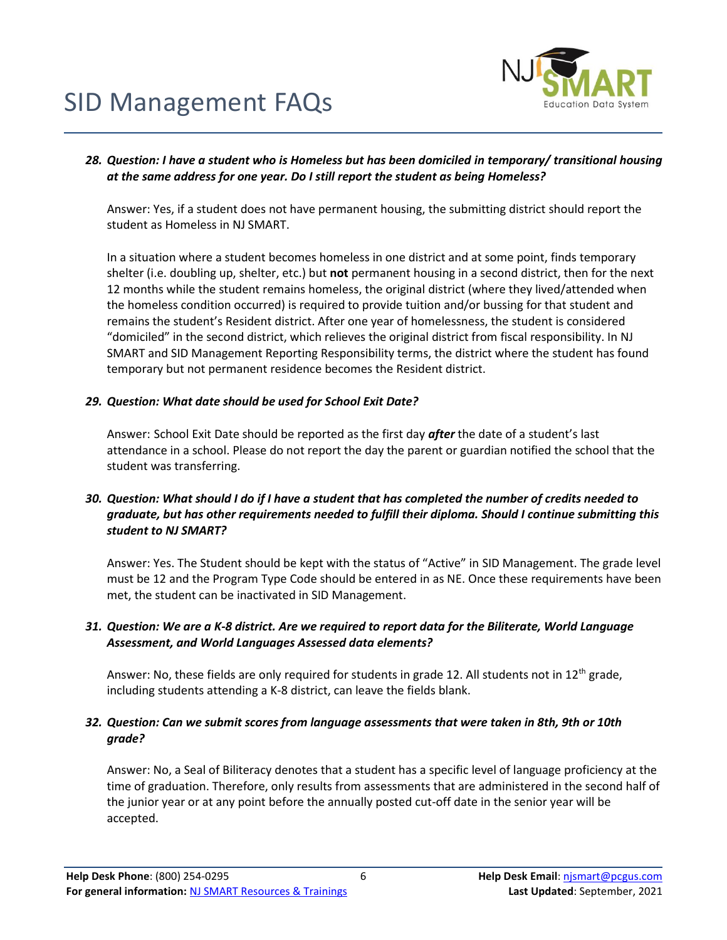

### *28. Question: I have a student who is Homeless but has been domiciled in temporary/ transitional housing at the same address for one year. Do I still report the student as being Homeless?*

Answer: Yes, if a student does not have permanent housing, the submitting district should report the student as Homeless in NJ SMART.

In a situation where a student becomes homeless in one district and at some point, finds temporary shelter (i.e. doubling up, shelter, etc.) but **not** permanent housing in a second district, then for the next 12 months while the student remains homeless, the original district (where they lived/attended when the homeless condition occurred) is required to provide tuition and/or bussing for that student and remains the student's Resident district. After one year of homelessness, the student is considered "domiciled" in the second district, which relieves the original district from fiscal responsibility. In NJ SMART and SID Management Reporting Responsibility terms, the district where the student has found temporary but not permanent residence becomes the Resident district.

#### *29. Question: What date should be used for School Exit Date?*

Answer: School Exit Date should be reported as the first day *after* the date of a student's last attendance in a school. Please do not report the day the parent or guardian notified the school that the student was transferring.

### *30. Question: What should I do if I have a student that has completed the number of credits needed to graduate, but has other requirements needed to fulfill their diploma. Should I continue submitting this student to NJ SMART?*

Answer: Yes. The Student should be kept with the status of "Active" in SID Management. The grade level must be 12 and the Program Type Code should be entered in as NE. Once these requirements have been met, the student can be inactivated in SID Management.

### *31. Question: We are a K-8 district. Are we required to report data for the Biliterate, World Language Assessment, and World Languages Assessed data elements?*

Answer: No, these fields are only required for students in grade 12. All students not in 12<sup>th</sup> grade, including students attending a K-8 district, can leave the fields blank.

### *32. Question: Can we submit scores from language assessments that were taken in 8th, 9th or 10th grade?*

Answer: No, a Seal of Biliteracy denotes that a student has a specific level of language proficiency at the time of graduation. Therefore, only results from assessments that are administered in the second half of the junior year or at any point before the annually posted cut-off date in the senior year will be accepted.